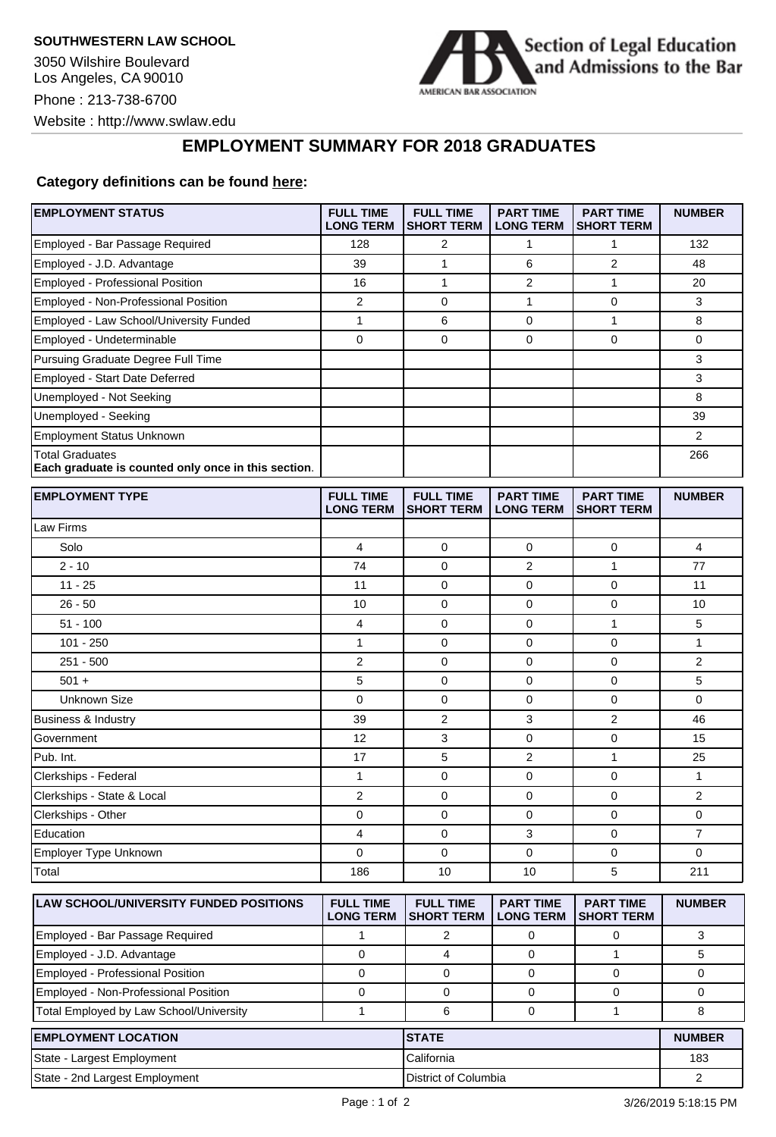3050 Wilshire Boulevard Los Angeles, CA 90010 Phone : 213-738-6700 Website : http://www.swlaw.edu



## **EMPLOYMENT SUMMARY FOR 2018 GRADUATES**

## **Category definitions can be found [here:](https://www.americanbar.org/content/dam/aba/administrative/legal_education_and_admissions_to_the_bar/2019-aba-employment-protocols-final-class-of-2018.pdf)**

| <b>EMPLOYMENT STATUS</b>                                                      | <b>FULL TIME</b><br><b>LONG TERM</b> | <b>FULL TIME</b><br><b>SHORT TERM</b> | <b>PART TIME</b><br><b>LONG TERM</b> | <b>PART TIME</b><br><b>SHORT TERM</b> | <b>NUMBER</b>  |
|-------------------------------------------------------------------------------|--------------------------------------|---------------------------------------|--------------------------------------|---------------------------------------|----------------|
| Employed - Bar Passage Required                                               | 128                                  | 2                                     | 1                                    | $\mathbf{1}$                          | 132            |
| Employed - J.D. Advantage                                                     | 39                                   | 1                                     | 6                                    | $\overline{2}$                        | 48             |
| Employed - Professional Position                                              | 16                                   | $\mathbf{1}$                          | 2                                    | $\mathbf{1}$                          | 20             |
| Employed - Non-Professional Position                                          | 2                                    | $\mathbf 0$                           | 1                                    | $\mathbf 0$                           | 3              |
| Employed - Law School/University Funded                                       | $\mathbf{1}$                         | 6                                     | 0                                    | $\mathbf{1}$                          | 8              |
| Employed - Undeterminable                                                     | 0                                    | $\mathbf 0$                           | 0                                    | $\mathbf 0$                           | 0              |
| Pursuing Graduate Degree Full Time                                            |                                      |                                       |                                      |                                       | 3              |
| Employed - Start Date Deferred                                                |                                      |                                       |                                      |                                       | 3              |
| Unemployed - Not Seeking                                                      |                                      |                                       |                                      |                                       | 8              |
| Unemployed - Seeking                                                          |                                      |                                       |                                      |                                       | 39             |
| <b>Employment Status Unknown</b>                                              |                                      |                                       |                                      |                                       | 2              |
| <b>Total Graduates</b><br>Each graduate is counted only once in this section. |                                      |                                       |                                      |                                       | 266            |
| <b>EMPLOYMENT TYPE</b>                                                        | <b>FULL TIME</b><br><b>LONG TERM</b> | <b>FULL TIME</b><br><b>SHORT TERM</b> | <b>PART TIME</b><br><b>LONG TERM</b> | <b>PART TIME</b><br><b>SHORT TERM</b> | <b>NUMBER</b>  |
| Law Firms                                                                     |                                      |                                       |                                      |                                       |                |
| Solo                                                                          | 4                                    | 0                                     | 0                                    | 0                                     | 4              |
| $2 - 10$                                                                      | 74                                   | $\mathbf 0$                           | 2                                    | 1                                     | 77             |
| $11 - 25$                                                                     | 11                                   | 0                                     | 0                                    | 0                                     | 11             |
| $26 - 50$                                                                     | 10                                   | $\mathbf 0$                           | 0                                    | $\mathbf 0$                           | 10             |
| $51 - 100$                                                                    | 4                                    | 0                                     | 0                                    | $\mathbf{1}$                          | 5              |
| $101 - 250$                                                                   | 1                                    | 0                                     | 0                                    | $\mathbf 0$                           | 1              |
| $251 - 500$                                                                   | 2                                    | 0                                     | 0                                    | 0                                     | 2              |
| $501 +$                                                                       | 5                                    | $\mathbf 0$                           | 0                                    | $\mathbf 0$                           | 5              |
| <b>Unknown Size</b>                                                           | 0                                    | $\mathbf 0$                           | 0                                    | 0                                     | 0              |
| Business & Industry                                                           | 39                                   | $\overline{2}$                        | 3                                    | 2                                     | 46             |
| Government                                                                    | 12                                   | 3                                     | 0                                    | $\mathbf 0$                           | 15             |
| Pub. Int.                                                                     | 17                                   | 5                                     | 2                                    | $\mathbf{1}$                          | 25             |
| Clerkships - Federal                                                          | $\mathbf{1}$                         | $\mathbf 0$                           | 0                                    | $\mathbf 0$                           | $\mathbf{1}$   |
| Clerkships - State & Local                                                    | $\overline{2}$                       | 0                                     | 0                                    | $\mathbf 0$                           | 2              |
| Clerkships - Other                                                            | 0                                    | $\mathbf 0$                           | 0                                    | $\mathbf 0$                           | 0              |
| Education                                                                     | 4                                    | $\mathbf 0$                           | 3                                    | $\mathbf 0$                           | 7              |
| Employer Type Unknown                                                         | 0                                    | 0                                     | 0                                    | 0                                     | 0              |
| Total                                                                         | 186                                  | 10                                    | 10                                   | 5                                     | 211            |
| LAW SCHOOL/UNIVERSITY FUNDED POSITIONS                                        | <b>FULL TIME</b><br><b>LONG TERM</b> | <b>FULL TIME</b><br><b>SHORT TERM</b> | <b>PART TIME</b><br><b>LONG TERM</b> | <b>PART TIME</b><br><b>SHORT TERM</b> | <b>NUMBER</b>  |
| Employed - Bar Passage Required                                               | 1                                    | $\overline{2}$                        | 0                                    | 0                                     | 3              |
| Employed - J.D. Advantage                                                     | 0                                    | $\overline{4}$                        | 0                                    | $\mathbf{1}$                          | 5              |
| Employed - Professional Position                                              | 0                                    | $\mathbf 0$                           | 0                                    | 0                                     | 0              |
| Employed - Non-Professional Position                                          | 0                                    | $\mathbf 0$                           | 0                                    | 0                                     | 0              |
| Total Employed by Law School/University                                       | 1                                    | 6                                     | 0                                    | $\mathbf{1}$                          | 8              |
| <b>EMPLOYMENT LOCATION</b>                                                    |                                      | <b>STATE</b>                          |                                      |                                       | <b>NUMBER</b>  |
| State - Largest Employment                                                    |                                      | California                            |                                      |                                       | 183            |
| State - 2nd Largest Employment                                                |                                      | District of Columbia                  |                                      |                                       | $\overline{2}$ |